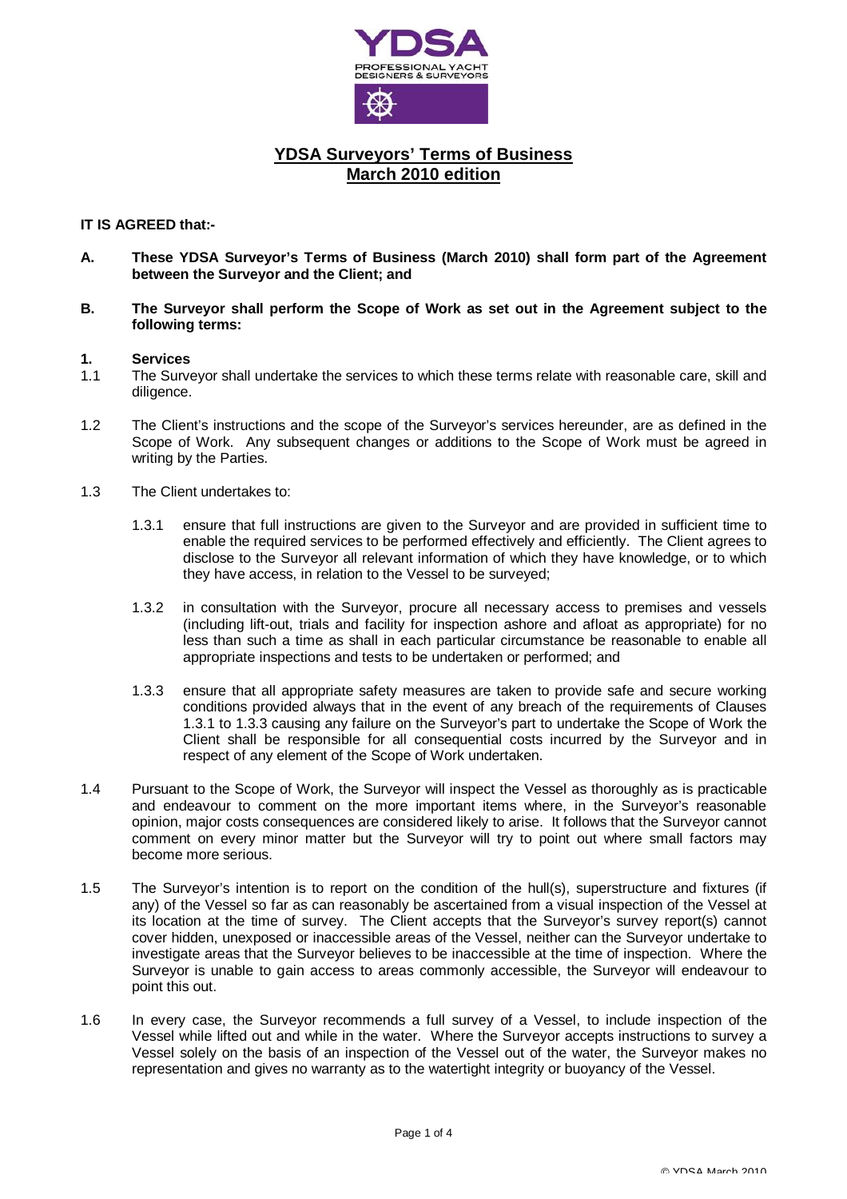

# **YDSA Surveyors' Terms of Business March 2010 edition**

### **IT IS AGREED that:-**

- **A. These YDSA Surveyor's Terms of Business (March 2010) shall form part of the Agreement between the Surveyor and the Client; and**
- **B. The Surveyor shall perform the Scope of Work as set out in the Agreement subject to the following terms:**

#### **1. Services**

- 1.1 The Surveyor shall undertake the services to which these terms relate with reasonable care, skill and diligence.
- 1.2 The Client's instructions and the scope of the Surveyor's services hereunder, are as defined in the Scope of Work. Any subsequent changes or additions to the Scope of Work must be agreed in writing by the Parties.
- 1.3 The Client undertakes to:
	- 1.3.1 ensure that full instructions are given to the Surveyor and are provided in sufficient time to enable the required services to be performed effectively and efficiently. The Client agrees to disclose to the Surveyor all relevant information of which they have knowledge, or to which they have access, in relation to the Vessel to be surveyed;
	- 1.3.2 in consultation with the Surveyor, procure all necessary access to premises and vessels (including lift-out, trials and facility for inspection ashore and afloat as appropriate) for no less than such a time as shall in each particular circumstance be reasonable to enable all appropriate inspections and tests to be undertaken or performed; and
	- 1.3.3 ensure that all appropriate safety measures are taken to provide safe and secure working conditions provided always that in the event of any breach of the requirements of Clauses 1.3.1 to 1.3.3 causing any failure on the Surveyor's part to undertake the Scope of Work the Client shall be responsible for all consequential costs incurred by the Surveyor and in respect of any element of the Scope of Work undertaken.
- 1.4 Pursuant to the Scope of Work, the Surveyor will inspect the Vessel as thoroughly as is practicable and endeavour to comment on the more important items where, in the Surveyor's reasonable opinion, major costs consequences are considered likely to arise. It follows that the Surveyor cannot comment on every minor matter but the Surveyor will try to point out where small factors may become more serious.
- 1.5 The Surveyor's intention is to report on the condition of the hull(s), superstructure and fixtures (if any) of the Vessel so far as can reasonably be ascertained from a visual inspection of the Vessel at its location at the time of survey. The Client accepts that the Surveyor's survey report(s) cannot cover hidden, unexposed or inaccessible areas of the Vessel, neither can the Surveyor undertake to investigate areas that the Surveyor believes to be inaccessible at the time of inspection. Where the Surveyor is unable to gain access to areas commonly accessible, the Surveyor will endeavour to point this out.
- 1.6 In every case, the Surveyor recommends a full survey of a Vessel, to include inspection of the Vessel while lifted out and while in the water. Where the Surveyor accepts instructions to survey a Vessel solely on the basis of an inspection of the Vessel out of the water, the Surveyor makes no representation and gives no warranty as to the watertight integrity or buoyancy of the Vessel.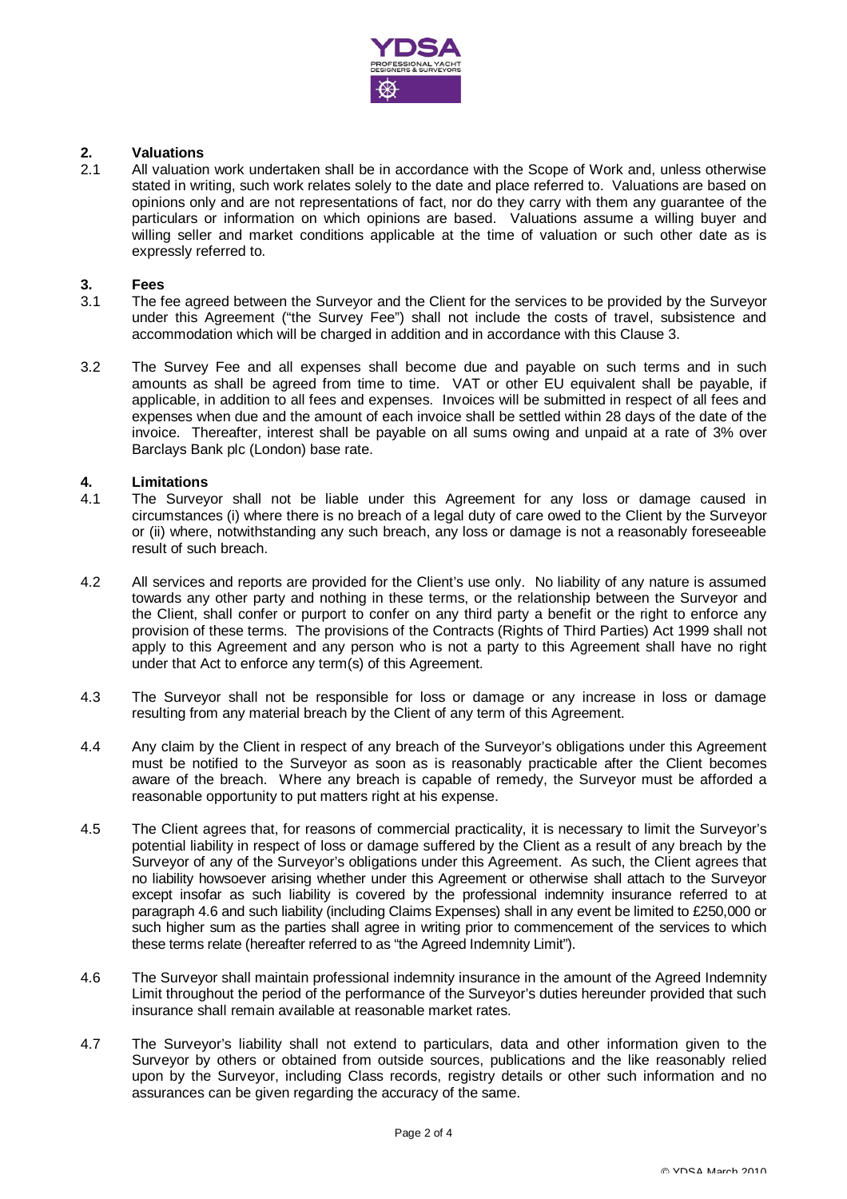

# **2. Valuations**

2.1 All valuation work undertaken shall be in accordance with the Scope of Work and, unless otherwise stated in writing, such work relates solely to the date and place referred to. Valuations are based on opinions only and are not representations of fact, nor do they carry with them any guarantee of the particulars or information on which opinions are based. Valuations assume a willing buyer and willing seller and market conditions applicable at the time of valuation or such other date as is expressly referred to.

### **3. Fees**

- 3.1 The fee agreed between the Surveyor and the Client for the services to be provided by the Surveyor under this Agreement ("the Survey Fee") shall not include the costs of travel, subsistence and accommodation which will be charged in addition and in accordance with this Clause 3.
- 3.2 The Survey Fee and all expenses shall become due and payable on such terms and in such amounts as shall be agreed from time to time. VAT or other EU equivalent shall be payable, if applicable, in addition to all fees and expenses. Invoices will be submitted in respect of all fees and expenses when due and the amount of each invoice shall be settled within 28 days of the date of the invoice. Thereafter, interest shall be payable on all sums owing and unpaid at a rate of 3% over Barclays Bank plc (London) base rate.

### **4. Limitations**

- 4.1 The Surveyor shall not be liable under this Agreement for any loss or damage caused in circumstances (i) where there is no breach of a legal duty of care owed to the Client by the Surveyor or (ii) where, notwithstanding any such breach, any loss or damage is not a reasonably foreseeable result of such breach.
- 4.2 All services and reports are provided for the Client's use only. No liability of any nature is assumed towards any other party and nothing in these terms, or the relationship between the Surveyor and the Client, shall confer or purport to confer on any third party a benefit or the right to enforce any provision of these terms. The provisions of the Contracts (Rights of Third Parties) Act 1999 shall not apply to this Agreement and any person who is not a party to this Agreement shall have no right under that Act to enforce any term(s) of this Agreement.
- 4.3 The Surveyor shall not be responsible for loss or damage or any increase in loss or damage resulting from any material breach by the Client of any term of this Agreement.
- 4.4 Any claim by the Client in respect of any breach of the Surveyor's obligations under this Agreement must be notified to the Surveyor as soon as is reasonably practicable after the Client becomes aware of the breach. Where any breach is capable of remedy, the Surveyor must be afforded a reasonable opportunity to put matters right at his expense.
- 4.5 The Client agrees that, for reasons of commercial practicality, it is necessary to limit the Surveyor's potential liability in respect of loss or damage suffered by the Client as a result of any breach by the Surveyor of any of the Surveyor's obligations under this Agreement. As such, the Client agrees that no liability howsoever arising whether under this Agreement or otherwise shall attach to the Surveyor except insofar as such liability is covered by the professional indemnity insurance referred to at paragraph 4.6 and such liability (including Claims Expenses) shall in any event be limited to £250,000 or such higher sum as the parties shall agree in writing prior to commencement of the services to which these terms relate (hereafter referred to as "the Agreed Indemnity Limit").
- 4.6 The Surveyor shall maintain professional indemnity insurance in the amount of the Agreed Indemnity Limit throughout the period of the performance of the Surveyor's duties hereunder provided that such insurance shall remain available at reasonable market rates.
- 4.7 The Surveyor's liability shall not extend to particulars, data and other information given to the Surveyor by others or obtained from outside sources, publications and the like reasonably relied upon by the Surveyor, including Class records, registry details or other such information and no assurances can be given regarding the accuracy of the same.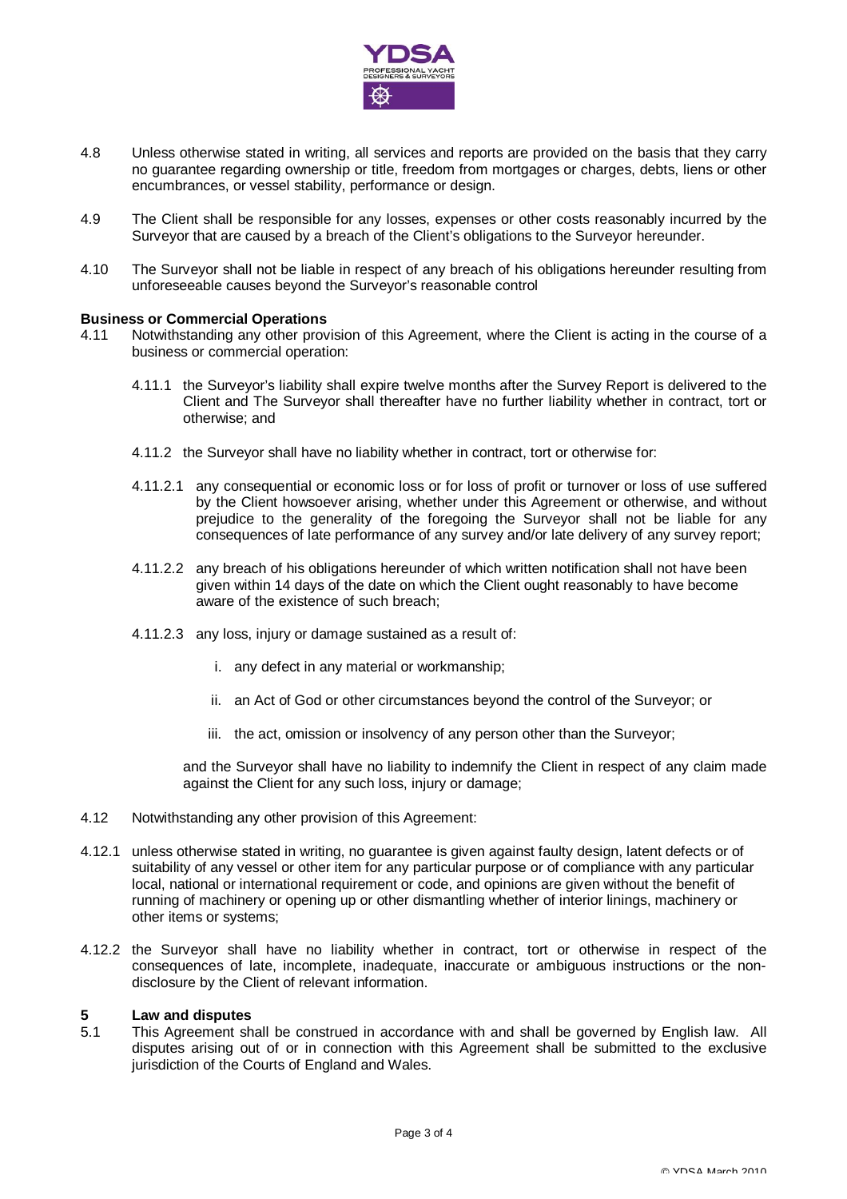

- 4.8 Unless otherwise stated in writing, all services and reports are provided on the basis that they carry no guarantee regarding ownership or title, freedom from mortgages or charges, debts, liens or other encumbrances, or vessel stability, performance or design.
- 4.9 The Client shall be responsible for any losses, expenses or other costs reasonably incurred by the Surveyor that are caused by a breach of the Client's obligations to the Surveyor hereunder.
- 4.10 The Surveyor shall not be liable in respect of any breach of his obligations hereunder resulting from unforeseeable causes beyond the Surveyor's reasonable control

### **Business or Commercial Operations**

- 4.11 Notwithstanding any other provision of this Agreement, where the Client is acting in the course of a business or commercial operation:
	- 4.11.1 the Surveyor's liability shall expire twelve months after the Survey Report is delivered to the Client and The Surveyor shall thereafter have no further liability whether in contract, tort or otherwise; and
	- 4.11.2 the Surveyor shall have no liability whether in contract, tort or otherwise for:
	- 4.11.2.1 any consequential or economic loss or for loss of profit or turnover or loss of use suffered by the Client howsoever arising, whether under this Agreement or otherwise, and without prejudice to the generality of the foregoing the Surveyor shall not be liable for any consequences of late performance of any survey and/or late delivery of any survey report;
	- 4.11.2.2 any breach of his obligations hereunder of which written notification shall not have been given within 14 days of the date on which the Client ought reasonably to have become aware of the existence of such breach;
	- 4.11.2.3 any loss, injury or damage sustained as a result of:
		- i. any defect in any material or workmanship;
		- ii. an Act of God or other circumstances beyond the control of the Surveyor; or
		- iii. the act, omission or insolvency of any person other than the Surveyor;

 and the Surveyor shall have no liability to indemnify the Client in respect of any claim made against the Client for any such loss, injury or damage;

- 4.12 Notwithstanding any other provision of this Agreement:
- 4.12.1 unless otherwise stated in writing, no guarantee is given against faulty design, latent defects or of suitability of any vessel or other item for any particular purpose or of compliance with any particular local, national or international requirement or code, and opinions are given without the benefit of running of machinery or opening up or other dismantling whether of interior linings, machinery or other items or systems;
- 4.12.2 the Surveyor shall have no liability whether in contract, tort or otherwise in respect of the consequences of late, incomplete, inadequate, inaccurate or ambiguous instructions or the nondisclosure by the Client of relevant information.

#### **5 Law and disputes**

5.1 This Agreement shall be construed in accordance with and shall be governed by English law. All disputes arising out of or in connection with this Agreement shall be submitted to the exclusive jurisdiction of the Courts of England and Wales.